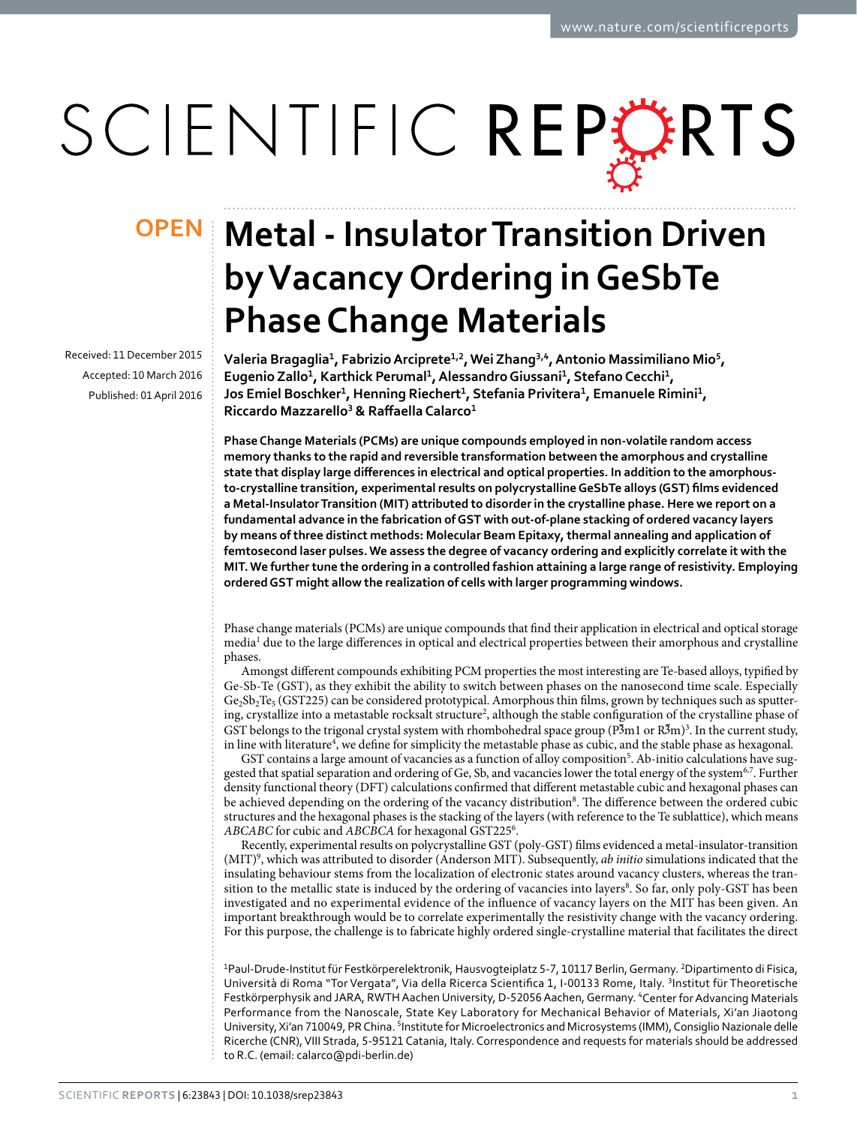# SCIENTIFIC REPERTS

Received: 11 December 2015 accepted: 10 March 2016 Published: 01 April 2016

# **Metal - Insulator Transition Driven OPENby Vacancy Ordering in GeSbTe Phase Change Materials**

**Valeria Bragaglia<sup>1</sup>, FabrizioArciprete<sup>1</sup>,<sup>2</sup>, Wei Zhang<sup>3</sup>,<sup>4</sup>, Antonio Massimiliano Mio<sup>5</sup>, EugenioZallo<sup>1</sup>, Karthick Perumal<sup>1</sup>, AlessandroGiussani<sup>1</sup>, Stefano Cecchi<sup>1</sup>, Jos Emiel Boschker<sup>1</sup>, Henning Riechert<sup>1</sup>, Stefania Privitera<sup>1</sup>, Emanuele Rimini<sup>1</sup>, Riccardo Mazzarello3 & Raffaella Calarco<sup>1</sup>**

**Phase Change Materials (PCMs) are unique compounds employed in non-volatile random access memory thanks to the rapid and reversible transformation between the amorphous and crystalline state that display large differences in electrical and optical properties. In addition to the amorphousto-crystalline transition, experimental results on polycrystalline GeSbTe alloys (GST) films evidenced a Metal-Insulator Transition (MIT) attributed to disorder in the crystalline phase. Here we report on a fundamental advance in the fabrication of GST with out-of-plane stacking of ordered vacancy layers by means of three distinct methods: Molecular Beam Epitaxy, thermal annealing and application of femtosecond laser pulses. We assess the degree of vacancy ordering and explicitly correlate it with the MIT. We further tune the ordering in a controlled fashion attaining a large range of resistivity. Employing ordered GST might allow the realization of cells with larger programming windows.**

Phase change materials (PCMs) are unique compounds that find their application in electrical and optical storage media<sup>1</sup> due to the large differences in optical and electrical properties between their amorphous and crystalline phases.

Amongst different compounds exhibiting PCM properties the most interesting are Te-based alloys, typified by Ge-Sb-Te (GST), as they exhibit the ability to switch between phases on the nanosecond time scale. Especially  $Ge_2Sb_2Te_5$  (GST225) can be considered prototypical. Amorphous thin films, grown by techniques such as sputtering, crystallize into a metastable rocksalt structure<sup>2</sup>, although the stable configuration of the crystalline phase of GST belongs to the trigonal crystal system with rhombohedral space group ( $P\overline{3}$ m1 or  $R\overline{3}$ m)<sup>3</sup>. In the current study, in line with literature<sup>[4](#page-5-3)</sup>, we define for simplicity the metastable phase as cubic, and the stable phase as hexagonal.

GST contains a large amount of vacancies as a function of alloy composition<sup>[5](#page-5-4)</sup>. Ab-initio calculations have suggested that spatial separation and ordering of Ge, Sb, and vacancies lower the total energy of the system[6](#page-5-5),[7.](#page-5-6) Further density functional theory (DFT) calculations confirmed that different metastable cubic and hexagonal phases can be achieved depending on the ordering of the vacancy distribution<sup>[8](#page-5-7)</sup>. The difference between the ordered cubic structures and the hexagonal phases is the stacking of the layers (with reference to the Te sublattice), which means *ABCABC* for cubic and *ABCBCA* for hexagonal GST225[6](#page-5-5) .

Recently, experimental results on polycrystalline GST (poly-GST) films evidenced a metal-insulator-transition (MIT)[9](#page-5-8) , which was attributed to disorder (Anderson MIT). Subsequently, *ab initio* simulations indicated that the insulating behaviour stems from the localization of electronic states around vacancy clusters, whereas the tran-sition to the metallic state is induced by the ordering of vacancies into layers<sup>[8](#page-5-7)</sup>. So far, only poly-GST has been investigated and no experimental evidence of the influence of vacancy layers on the MIT has been given. An important breakthrough would be to correlate experimentally the resistivity change with the vacancy ordering. For this purpose, the challenge is to fabricate highly ordered single-crystalline material that facilitates the direct

<sup>1</sup>Paul-Drude-Institut für Festkörperelektronik, Hausvogteiplatz 5-7, 10117 Berlin, Germany. <sup>2</sup>Dipartimento di Fisica, Università di Roma "Tor Vergata", Via della Ricerca Scientifica 1, I-00133 Rome, Italy. 3Institut für Theoretische Festkörperphysik and JARA, RWTH Aachen University, D-52056 Aachen, Germany. <sup>4</sup>Center for Advancing Materials Performance from the Nanoscale, State Key Laboratory for Mechanical Behavior of Materials, Xi'an Jiaotong University, Xi'an 710049, PR China. <sup>5</sup>Institute for Microelectronics and Microsystems (IMM), Consiglio Nazionale delle Ricerche (CNR), VIII Strada, 5-95121 Catania, Italy. Correspondence and requests for materials should be addressed to R.C. (email: [calarco@pdi-berlin.de\)](mailto:calarco@pdi-berlin.de)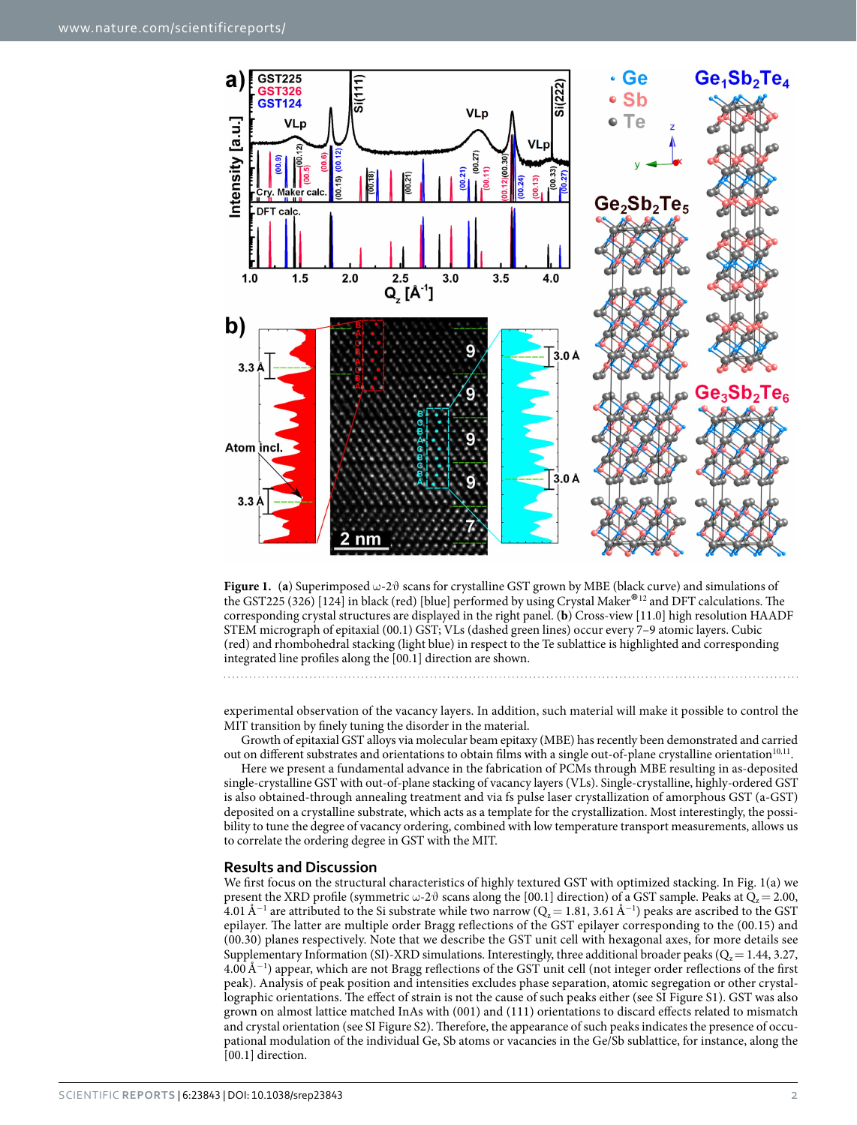

<span id="page-1-0"></span>

experimental observation of the vacancy layers. In addition, such material will make it possible to control the MIT transition by finely tuning the disorder in the material.

Growth of epitaxial GST alloys via molecular beam epitaxy (MBE) has recently been demonstrated and carried out on different substrates and orientations to obtain films with a single out-of-plane crystalline orientation<sup>[10,](#page-5-9)11</sup>.

Here we present a fundamental advance in the fabrication of PCMs through MBE resulting in as-deposited single-crystalline GST with out-of-plane stacking of vacancy layers (VLs). Single-crystalline, highly-ordered GST is also obtained-through annealing treatment and via fs pulse laser crystallization of amorphous GST (a-GST) deposited on a crystalline substrate, which acts as a template for the crystallization. Most interestingly, the possibility to tune the degree of vacancy ordering, combined with low temperature transport measurements, allows us to correlate the ordering degree in GST with the MIT.

## **Results and Discussion**

We first focus on the structural characteristics of highly textured GST with optimized stacking. In [Fig. 1\(a\)](#page-1-0) we present the XRD profile (symmetric  $\omega$ -2 $\vartheta$  scans along the [00.1] direction) of a GST sample. Peaks at  $Q_z = 2.00$ , 4.01 Å<sup>−1</sup> are attributed to the Si substrate while two narrow (Q<sub>z</sub> = 1.81, 3.61 Å<sup>−1</sup>) peaks are ascribed to the GST epilayer. The latter are multiple order Bragg reflections of the GST epilayer corresponding to the (00.15) and (00.30) planes respectively. Note that we describe the GST unit cell with hexagonal axes, for more details see Supplementary Information (SI)-XRD simulations. Interestingly, three additional broader peaks ( $Q_z$  = 1.44, 3.27, 4.00Å<sup>−</sup><sup>1</sup> ) appear, which are not Bragg reflections of the GST unit cell (not integer order reflections of the first peak). Analysis of peak position and intensities excludes phase separation, atomic segregation or other crystallographic orientations. The effect of strain is not the cause of such peaks either (see SI Figure S1). GST was also grown on almost lattice matched InAs with (001) and (111) orientations to discard effects related to mismatch and crystal orientation (see SI Figure S2). Therefore, the appearance of such peaks indicates the presence of occupational modulation of the individual Ge, Sb atoms or vacancies in the Ge/Sb sublattice, for instance, along the [00.1] direction.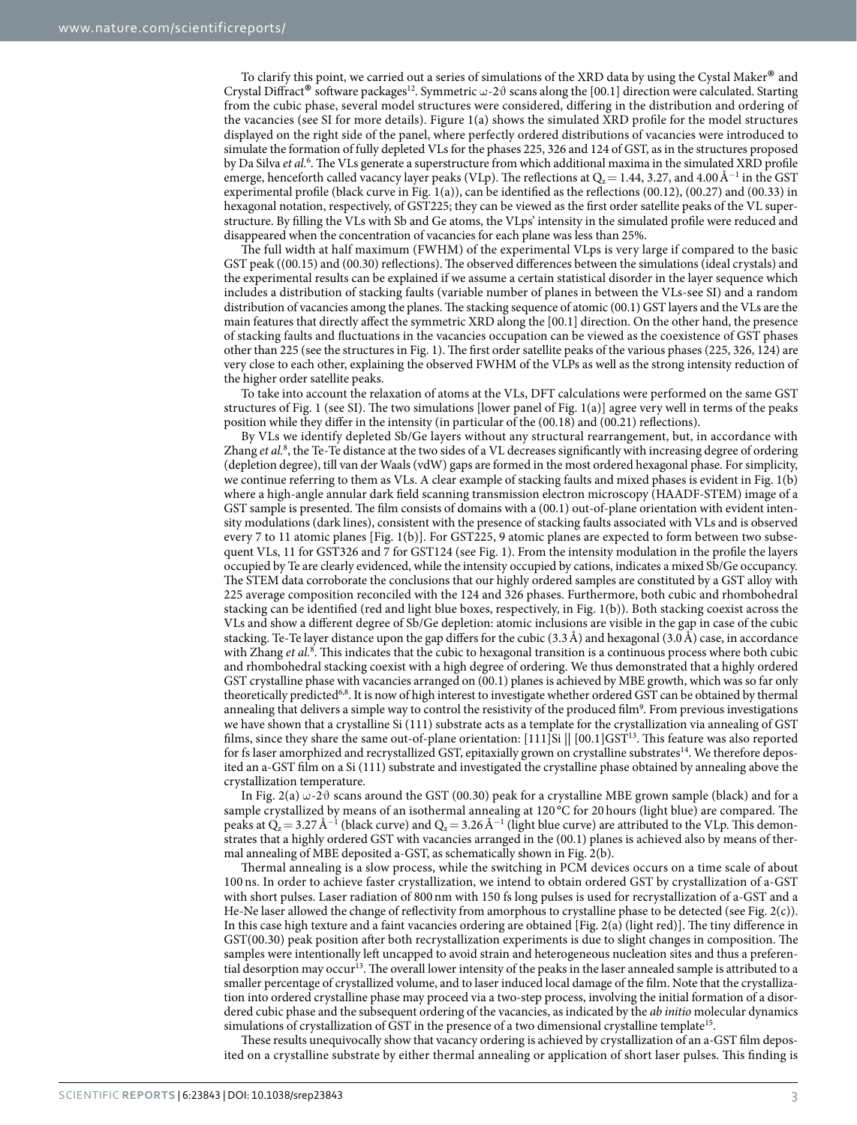To clarify this point, we carried out a series of simulations of the XRD data by using the Cystal Maker® and Crystal Diffract<sup>®</sup> software packages<sup>12</sup>. Symmetric  $\omega$ -2 $\vartheta$  scans along the [00.1] direction were calculated. Starting from the cubic phase, several model structures were considered, differing in the distribution and ordering of the vacancies (see SI for more details). [Figure 1\(a\)](#page-1-0) shows the simulated XRD profile for the model structures displayed on the right side of the panel, where perfectly ordered distributions of vacancies were introduced to simulate the formation of fully depleted VLs for the phases 225, 326 and 124 of GST, as in the structures proposed by Da Silva *et al.*[6](#page-5-5) . The VLs generate a superstructure from which additional maxima in the simulated XRD profile emerge, henceforth called vacancy layer peaks (VLp). The reflections at  $Q_z$  = 1.44, 3.27, and 4.00 Å<sup>−1</sup> in the GST experimental profile (black curve in [Fig. 1\(a\)](#page-1-0)), can be identified as the reflections (00.12), (00.27) and (00.33) in hexagonal notation, respectively, of GST225; they can be viewed as the first order satellite peaks of the VL superstructure. By filling the VLs with Sb and Ge atoms, the VLps' intensity in the simulated profile were reduced and disappeared when the concentration of vacancies for each plane was less than 25%.

The full width at half maximum (FWHM) of the experimental VLps is very large if compared to the basic GST peak ((00.15) and (00.30) reflections). The observed differences between the simulations (ideal crystals) and the experimental results can be explained if we assume a certain statistical disorder in the layer sequence which includes a distribution of stacking faults (variable number of planes in between the VLs-see SI) and a random distribution of vacancies among the planes. The stacking sequence of atomic (00.1) GST layers and the VLs are the main features that directly affect the symmetric XRD along the [00.1] direction. On the other hand, the presence of stacking faults and fluctuations in the vacancies occupation can be viewed as the coexistence of GST phases other than 225 (see the structures in [Fig. 1](#page-1-0)). The first order satellite peaks of the various phases (225, 326, 124) are very close to each other, explaining the observed FWHM of the VLPs as well as the strong intensity reduction of the higher order satellite peaks.

To take into account the relaxation of atoms at the VLs, DFT calculations were performed on the same GST structures of [Fig. 1](#page-1-0) (see SI). The two simulations [lower panel of [Fig. 1\(a\)](#page-1-0)] agree very well in terms of the peaks position while they differ in the intensity (in particular of the (00.18) and (00.21) reflections).

By VLs we identify depleted Sb/Ge layers without any structural rearrangement, but, in accordance with Zhang *et al.*<sup>[8](#page-5-7)</sup>, the Te-Te distance at the two sides of a VL decreases significantly with increasing degree of ordering (depletion degree), till van der Waals (vdW) gaps are formed in the most ordered hexagonal phase. For simplicity, we continue referring to them as VLs. A clear example of stacking faults and mixed phases is evident in [Fig. 1\(b\)](#page-1-0)  where a high-angle annular dark field scanning transmission electron microscopy (HAADF-STEM) image of a GST sample is presented. The film consists of domains with a (00.1) out-of-plane orientation with evident intensity modulations (dark lines), consistent with the presence of stacking faults associated with VLs and is observed every 7 to 11 atomic planes [[Fig. 1\(b\)](#page-1-0)]. For GST225, 9 atomic planes are expected to form between two subsequent VLs, 11 for GST326 and 7 for GST124 (see [Fig. 1\)](#page-1-0). From the intensity modulation in the profile the layers occupied by Te are clearly evidenced, while the intensity occupied by cations, indicates a mixed Sb/Ge occupancy. The STEM data corroborate the conclusions that our highly ordered samples are constituted by a GST alloy with 225 average composition reconciled with the 124 and 326 phases. Furthermore, both cubic and rhombohedral stacking can be identified (red and light blue boxes, respectively, in [Fig. 1\(b\)\)](#page-1-0). Both stacking coexist across the VLs and show a different degree of Sb/Ge depletion: atomic inclusions are visible in the gap in case of the cubic stacking. Te-Te layer distance upon the gap differs for the cubic (3.3Å) and hexagonal (3.0Å) case, in accordance with Zhang et al.<sup>[8](#page-5-7)</sup>. This indicates that the cubic to hexagonal transition is a continuous process where both cubic and rhombohedral stacking coexist with a high degree of ordering. We thus demonstrated that a highly ordered GST crystalline phase with vacancies arranged on (00.1) planes is achieved by MBE growth, which was so far only theoretically predicted<sup>6[,8](#page-5-7)</sup>. It is now of high interest to investigate whether ordered GST can be obtained by thermal annealing that delivers a simple way to control the resistivity of the produced film<sup>9</sup>. From previous investigations we have shown that a crystalline Si (111) substrate acts as a template for the crystallization via annealing of GST films, since they share the same out-of-plane orientation: [111]Si || [00.1]GST<sup>[13](#page-5-12)</sup>. This feature was also reported for fs laser amorphized and recrystallized GST, epitaxially grown on crystalline substrates<sup>14</sup>. We therefore deposited an a-GST film on a Si (111) substrate and investigated the crystalline phase obtained by annealing above the crystallization temperature.

In [Fig. 2\(a\)](#page-3-0)  $\omega$ -2 $\vartheta$  scans around the GST (00.30) peak for a crystalline MBE grown sample (black) and for a sample crystallized by means of an isothermal annealing at 120 °C for 20 hours (light blue) are compared. The peaks at  $Q_z$  = 3.27 Å<sup>−1</sup> (black curve) and  $Q_z$  = 3.26 Å<sup>−1</sup> (light blue curve) are attributed to the VLp. This demonstrates that a highly ordered GST with vacancies arranged in the (00.1) planes is achieved also by means of thermal annealing of MBE deposited a-GST, as schematically shown in [Fig. 2\(b\).](#page-3-0)

Thermal annealing is a slow process, while the switching in PCM devices occurs on a time scale of about 100 ns. In order to achieve faster crystallization, we intend to obtain ordered GST by crystallization of a-GST with short pulses. Laser radiation of 800nm with 150 fs long pulses is used for recrystallization of a-GST and a He-Ne laser allowed the change of reflectivity from amorphous to crystalline phase to be detected (see [Fig. 2\(c\)](#page-3-0)). In this case high texture and a faint vacancies ordering are obtained [\[Fig. 2\(a\)](#page-3-0) (light red)]. The tiny difference in GST(00.30) peak position after both recrystallization experiments is due to slight changes in composition. The samples were intentionally left uncapped to avoid strain and heterogeneous nucleation sites and thus a preferential desorption may occur<sup>13</sup>. The overall lower intensity of the peaks in the laser annealed sample is attributed to a smaller percentage of crystallized volume, and to laser induced local damage of the film. Note that the crystallization into ordered crystalline phase may proceed via a two-step process, involving the initial formation of a disordered cubic phase and the subsequent ordering of the vacancies, as indicated by the *ab initio* molecular dynamics simulations of crystallization of GST in the presence of a two dimensional crystalline template<sup>15</sup>

These results unequivocally show that vacancy ordering is achieved by crystallization of an a-GST film deposited on a crystalline substrate by either thermal annealing or application of short laser pulses. This finding is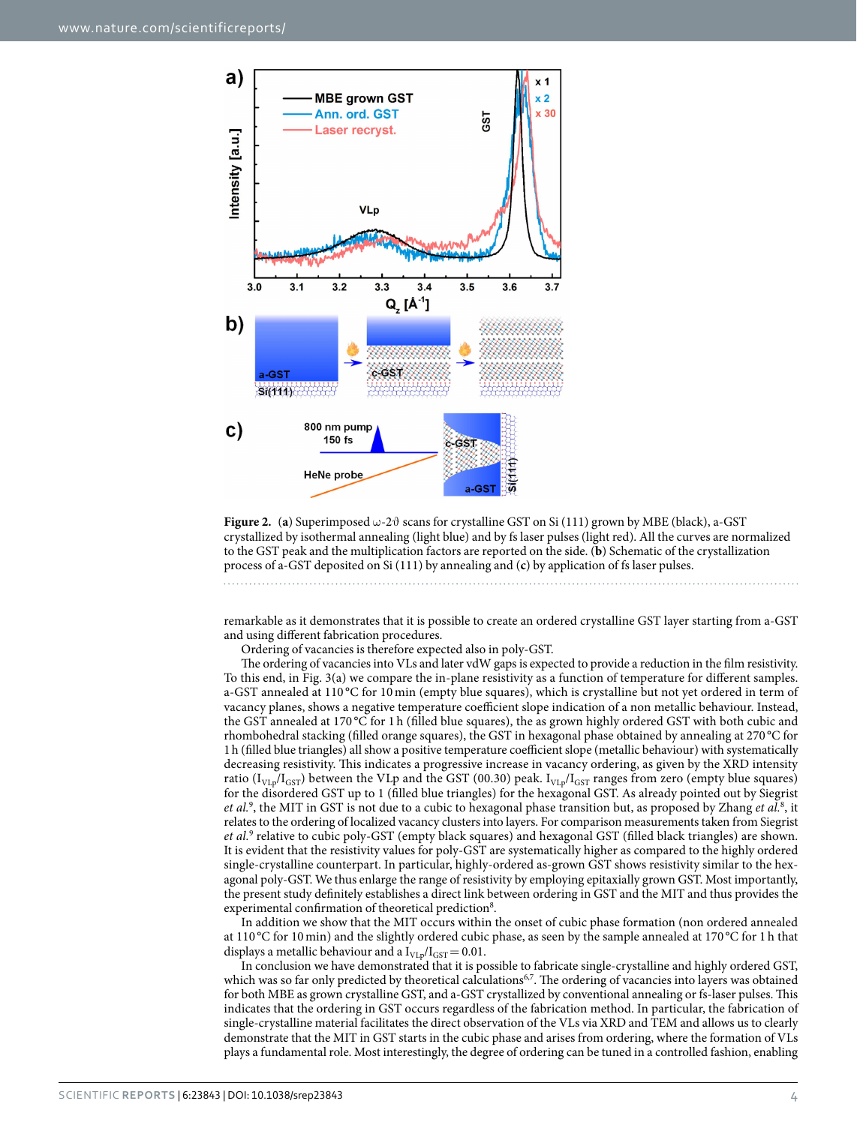

<span id="page-3-0"></span>**Figure 2.** (a) Superimposed  $\omega$ -2 $\vartheta$  scans for crystalline GST on Si (111) grown by MBE (black), a-GST crystallized by isothermal annealing (light blue) and by fs laser pulses (light red). All the curves are normalized to the GST peak and the multiplication factors are reported on the side. (**b**) Schematic of the crystallization process of a-GST deposited on Si (111) by annealing and (**c**) by application of fs laser pulses.

remarkable as it demonstrates that it is possible to create an ordered crystalline GST layer starting from a-GST and using different fabrication procedures.

Ordering of vacancies is therefore expected also in poly-GST.

The ordering of vacancies into VLs and later vdW gaps is expected to provide a reduction in the film resistivity. To this end, in [Fig. 3\(a\)](#page-4-0) we compare the in-plane resistivity as a function of temperature for different samples. a-GST annealed at 110 °C for 10 min (empty blue squares), which is crystalline but not yet ordered in term of vacancy planes, shows a negative temperature coefficient slope indication of a non metallic behaviour. Instead, the GST annealed at 170 °C for 1 h (filled blue squares), the as grown highly ordered GST with both cubic and rhombohedral stacking (filled orange squares), the GST in hexagonal phase obtained by annealing at 270 °C for 1h (filled blue triangles) all show a positive temperature coefficient slope (metallic behaviour) with systematically decreasing resistivity. This indicates a progressive increase in vacancy ordering, as given by the XRD intensity ratio ( $I_{V_{LP}}/I_{GST}$ ) between the VLp and the GST (00.30) peak.  $I_{V_{LP}}/I_{GST}$  ranges from zero (empty blue squares) for the disordered GST up to 1 (filled blue triangles) for the hexagonal GST. As already pointed out by Siegrist et al.<sup>[9](#page-5-8)</sup>, the MIT in GST is not due to a cubic to hexagonal phase transition but, as proposed by Zhang et al.<sup>[8](#page-5-7)</sup>, it relates to the ordering of localized vacancy clusters into layers. For comparison measurements taken from Siegrist *et al.*[9](#page-5-8) relative to cubic poly-GST (empty black squares) and hexagonal GST (filled black triangles) are shown. It is evident that the resistivity values for poly-GST are systematically higher as compared to the highly ordered single-crystalline counterpart. In particular, highly-ordered as-grown GST shows resistivity similar to the hexagonal poly-GST. We thus enlarge the range of resistivity by employing epitaxially grown GST. Most importantly, the present study definitely establishes a direct link between ordering in GST and the MIT and thus provides the experimental confirmation of theoretical prediction<sup>8</sup>.

In addition we show that the MIT occurs within the onset of cubic phase formation (non ordered annealed at 110 °C for 10min) and the slightly ordered cubic phase, as seen by the sample annealed at 170 °C for 1 h that displays a metallic behaviour and a  $I_{VLp}/I_{GST}= 0.01$ .

In conclusion we have demonstrated that it is possible to fabricate single-crystalline and highly ordered GST, which was so far only predicted by theoretical calculations<sup>6[,7](#page-5-6)</sup>. The ordering of vacancies into layers was obtained for both MBE as grown crystalline GST, and a-GST crystallized by conventional annealing or fs-laser pulses. This indicates that the ordering in GST occurs regardless of the fabrication method. In particular, the fabrication of single-crystalline material facilitates the direct observation of the VLs via XRD and TEM and allows us to clearly demonstrate that the MIT in GST starts in the cubic phase and arises from ordering, where the formation of VLs plays a fundamental role. Most interestingly, the degree of ordering can be tuned in a controlled fashion, enabling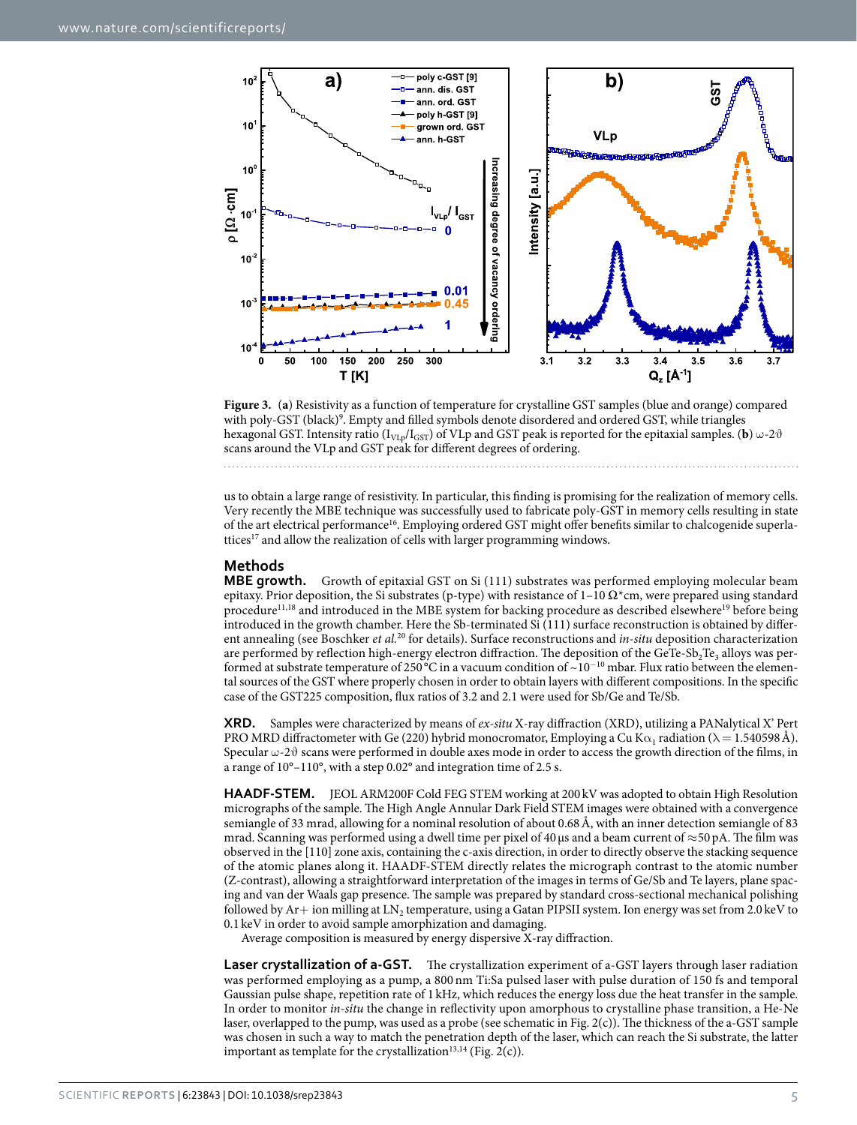

<span id="page-4-0"></span>

us to obtain a large range of resistivity. In particular, this finding is promising for the realization of memory cells. Very recently the MBE technique was successfully used to fabricate poly-GST in memory cells resulting in state of the art electrical performanc[e16.](#page-5-15) Employing ordered GST might offer benefits similar to chalcogenide superlattices<sup>17</sup> and allow the realization of cells with larger programming windows.

**Methods MBE growth.** Growth of epitaxial GST on Si (111) substrates was performed employing molecular beam epitaxy. Prior deposition, the Si substrates (p-type) with resistance of  $1-10 \Omega^*$ cm, were prepared using standard procedure<sup>[11,](#page-5-10)18</sup> and introduced in the MBE system for backing procedure as described elsewhere<sup>[19](#page-5-18)</sup> before being introduced in the growth chamber. Here the Sb-terminated Si (111) surface reconstruction is obtained by different annealing (see Boschker *et al.*[20](#page-5-19) for details). Surface reconstructions and *in-situ* deposition characterization are performed by reflection high-energy electron diffraction. The deposition of the GeTe-Sb<sub>2</sub>Te<sub>3</sub> alloys was performed at substrate temperature of 250 °C in a vacuum condition of ~10<sup>-10</sup> mbar. Flux ratio between the elemental sources of the GST where properly chosen in order to obtain layers with different compositions. In the specific case of the GST225 composition, flux ratios of 3.2 and 2.1 were used for Sb/Ge and Te/Sb.

**XRD.** Samples were characterized by means of *ex-situ* X-ray diffraction (XRD), utilizing a PANalytical X' Pert PRO MRD diffractometer with Ge (220) hybrid monocromator, Employing a Cu K $\alpha_1$  radiation ( $\lambda = 1.540598 \text{ Å}$ ). Specular  $\omega$ -2 $\vartheta$  scans were performed in double axes mode in order to access the growth direction of the films, in a range of 10°–110°, with a step 0.02° and integration time of 2.5 s.

**HAADF-STEM.** JEOL ARM200F Cold FEG STEM working at 200 kV was adopted to obtain High Resolution micrographs of the sample. The High Angle Annular Dark Field STEM images were obtained with a convergence semiangle of 33 mrad, allowing for a nominal resolution of about 0.68Å, with an inner detection semiangle of 83 mrad. Scanning was performed using a dwell time per pixel of 40 µs and a beam current of  $\approx$  50 pA. The film was observed in the [110] zone axis, containing the c-axis direction, in order to directly observe the stacking sequence of the atomic planes along it. HAADF-STEM directly relates the micrograph contrast to the atomic number (Z-contrast), allowing a straightforward interpretation of the images in terms of Ge/Sb and Te layers, plane spacing and van der Waals gap presence. The sample was prepared by standard cross-sectional mechanical polishing followed by  $Ar+$  ion milling at LN<sub>2</sub> temperature, using a Gatan PIPSII system. Ion energy was set from 2.0 keV to 0.1 keV in order to avoid sample amorphization and damaging.

Average composition is measured by energy dispersive X-ray diffraction.

**Laser crystallization of a-GST.** The crystallization experiment of a-GST layers through laser radiation was performed employing as a pump, a 800 nm Ti:Sa pulsed laser with pulse duration of 150 fs and temporal Gaussian pulse shape, repetition rate of 1 kHz, which reduces the energy loss due the heat transfer in the sample. In order to monitor *in-situ* the change in reflectivity upon amorphous to crystalline phase transition, a He-Ne laser, overlapped to the pump, was used as a probe (see schematic in [Fig. 2\(c\)\)](#page-3-0). The thickness of the a-GST sample was chosen in such a way to match the penetration depth of the laser, which can reach the Si substrate, the latter important as template for the crystallization<sup>13,14</sup> ([Fig. 2\(c\)](#page-3-0)).